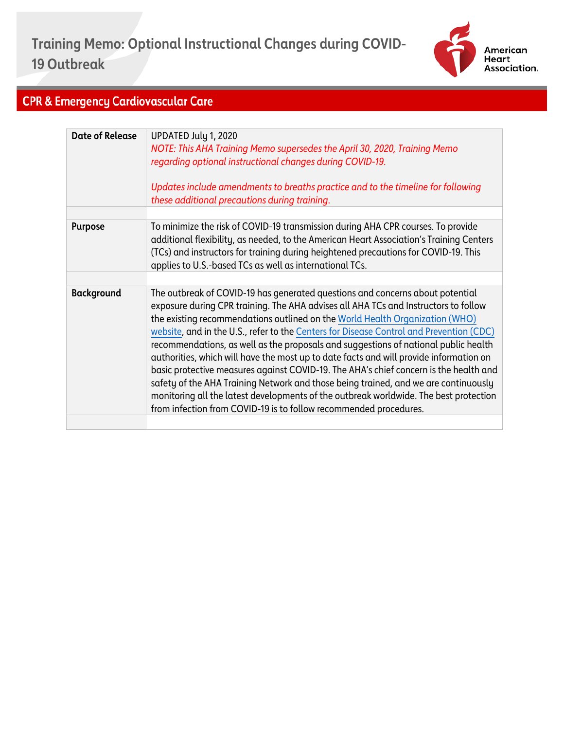**Training Memo: Optional Instructional Changes during COVID-19 Outbreak**



## **CPR & Emergency Cardiovascular Care**

| <b>Date of Release</b> | UPDATED July 1, 2020<br>NOTE: This AHA Training Memo supersedes the April 30, 2020, Training Memo<br>regarding optional instructional changes during COVID-19.<br>Updates include amendments to breaths practice and to the timeline for following<br>these additional precautions during training.                                                                                                                                                                                                                                                                                                                                                                                                                                                                                                                                                                            |
|------------------------|--------------------------------------------------------------------------------------------------------------------------------------------------------------------------------------------------------------------------------------------------------------------------------------------------------------------------------------------------------------------------------------------------------------------------------------------------------------------------------------------------------------------------------------------------------------------------------------------------------------------------------------------------------------------------------------------------------------------------------------------------------------------------------------------------------------------------------------------------------------------------------|
| <b>Purpose</b>         | To minimize the risk of COVID-19 transmission during AHA CPR courses. To provide<br>additional flexibility, as needed, to the American Heart Association's Training Centers<br>(TCs) and instructors for training during heightened precautions for COVID-19. This<br>applies to U.S.-based TCs as well as international TCs.                                                                                                                                                                                                                                                                                                                                                                                                                                                                                                                                                  |
|                        |                                                                                                                                                                                                                                                                                                                                                                                                                                                                                                                                                                                                                                                                                                                                                                                                                                                                                |
| <b>Background</b>      | The outbreak of COVID-19 has generated questions and concerns about potential<br>exposure during CPR training. The AHA advises all AHA TCs and Instructors to follow<br>the existing recommendations outlined on the World Health Organization (WHO)<br>website, and in the U.S., refer to the Centers for Disease Control and Prevention (CDC)<br>recommendations, as well as the proposals and suggestions of national public health<br>authorities, which will have the most up to date facts and will provide information on<br>basic protective measures against COVID-19. The AHA's chief concern is the health and<br>safety of the AHA Training Network and those being trained, and we are continuously<br>monitoring all the latest developments of the outbreak worldwide. The best protection<br>from infection from COVID-19 is to follow recommended procedures. |
|                        |                                                                                                                                                                                                                                                                                                                                                                                                                                                                                                                                                                                                                                                                                                                                                                                                                                                                                |